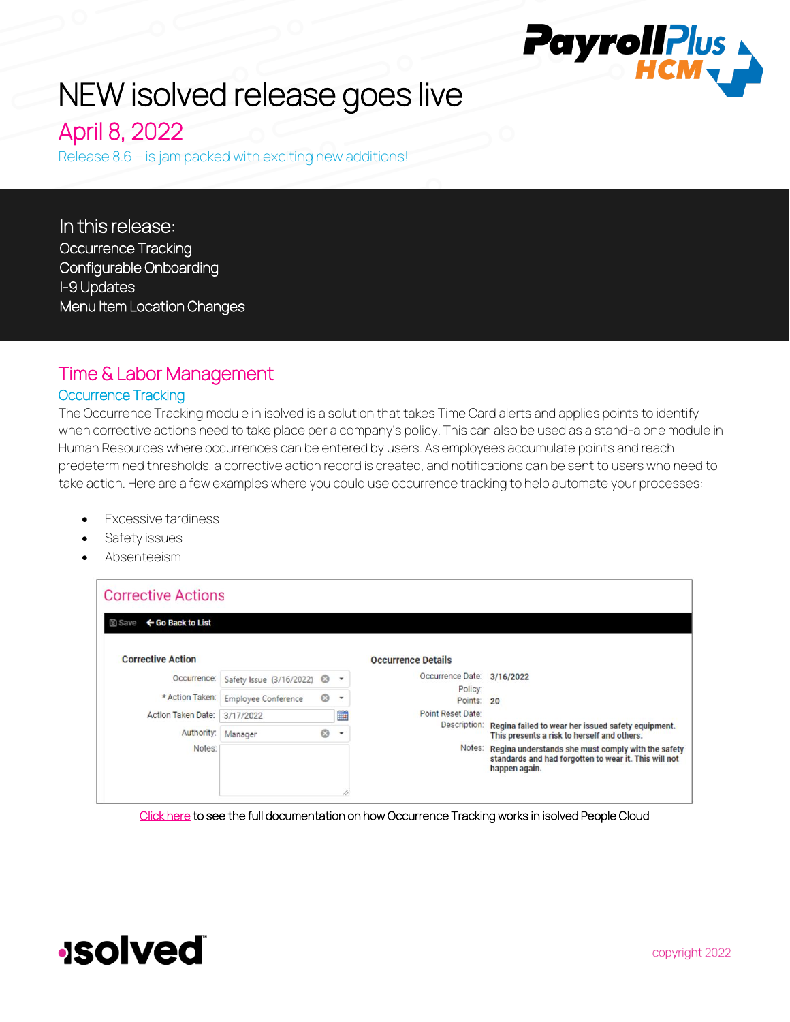# NEW isolved release goes live

April 8, 2022

Release 8.6 – is jam packed with exciting new additions!

In this release: Occurrence Tracking Configurable Onboarding I-9 Updates Menu Item Location Changes

## Time & Labor Management Occurrence Tracking

The Occurrence Tracking module in isolved is a solution that takes Time Card alerts and applies points to identify when corrective actions need to take place per a company's policy. This can also be used as a stand-alone module in Human Resources where occurrences can be entered by users. As employees accumulate points and reach predetermined thresholds, a corrective action record is created, and notifications can be sent to users who need to take action. Here are a few examples where you could use occurrence tracking to help automate your processes:

- **Excessive tardiness**
- Safety issues
- Absenteeism

| <b>Corrective Actions</b>          |                                       |         |                          |                            |                                                                                                                                     |
|------------------------------------|---------------------------------------|---------|--------------------------|----------------------------|-------------------------------------------------------------------------------------------------------------------------------------|
| ← Go Back to List<br><b>固 Save</b> |                                       |         |                          |                            |                                                                                                                                     |
| <b>Corrective Action</b>           |                                       |         |                          | <b>Occurrence Details</b>  |                                                                                                                                     |
| Occurrence:                        | Safety Issue (3/16/2022) <sup>3</sup> |         | $\mathbf{v}$             | Occurrence Date: 3/16/2022 |                                                                                                                                     |
| * Action Taken:                    | <b>Employee Conference</b>            | $\odot$ | ٠                        | Policy:<br>Points: 20      |                                                                                                                                     |
| Action Taken Date:                 | 3/17/2022                             |         | ili p                    | Point Reset Date:          |                                                                                                                                     |
| Authority:                         | Manager                               | ☺       | $\overline{\phantom{a}}$ | Description:               | Regina failed to wear her issued safety equipment.<br>This presents a risk to herself and others.                                   |
| Notes:                             |                                       |         |                          |                            | Notes: Regina understands she must comply with the safety<br>standards and had forgotten to wear it. This will not<br>happen again. |
|                                    |                                       |         |                          |                            |                                                                                                                                     |

[Click here t](https://learning.myisolved.com/library/documents/4798)o see the full documentation on how Occurrence Tracking works in isolved People Cloud

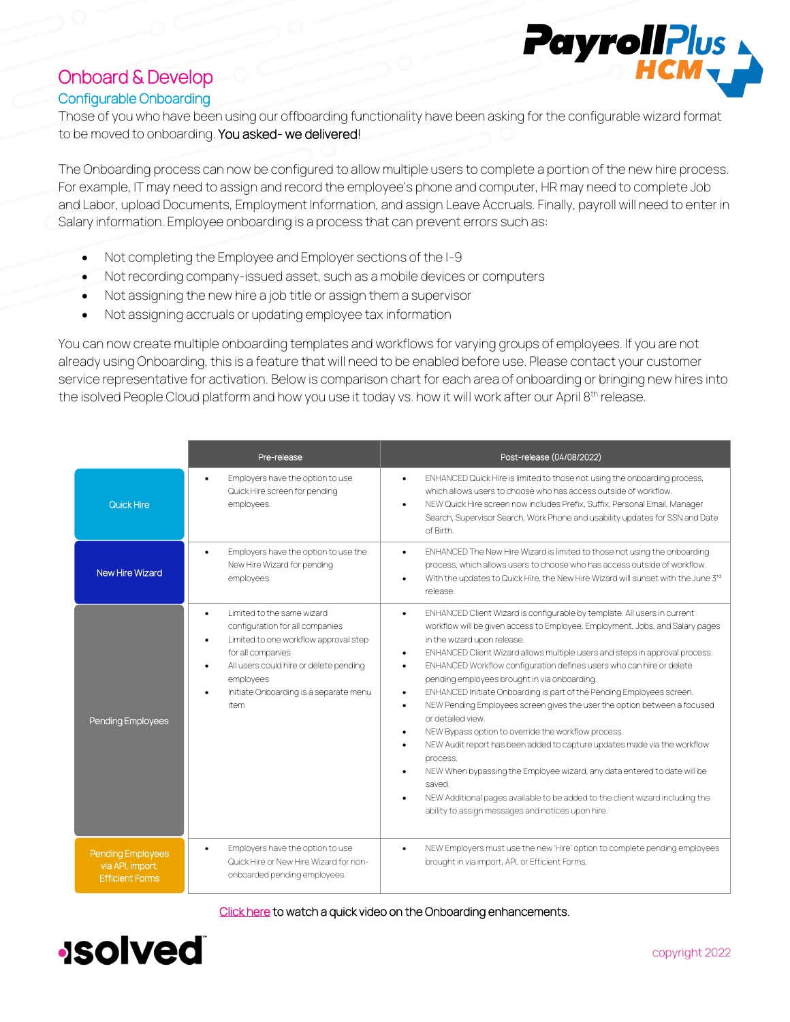## Onboard & Develop Configurable Onboarding

Those of you who have been using our offboarding functionality have been asking for the configurable wizard format to be moved to onboarding. You asked- we delivered!

The Onboarding process can now be configured to allow multiple users to complete a portion of the new hire process. For example, IT may need to assign and record the employee's phone and computer, HR may need to complete Job and Labor, upload Documents, Employment Information, and assign Leave Accruals. Finally, payroll will need to enter in Salary information. Employee onboarding is a process that can prevent errors such as:

- Not completing the Employee and Employer sections of the I-9
- Not recording company-issued asset, such as a mobile devices or computers
- Not assigning the new hire a job title or assign them a supervisor
- Not assigning accruals or updating employee tax information

You can now create multiple onboarding templates and workflows for varying groups of employees. If you are not already using Onboarding, this is a feature that will need to be enabled before use. Please contact your customer service representative for activation. Below is comparison chart for each area of onboarding or bringing new hires into the isolved People Cloud platform and how you use it today vs. how it will work after our April 8<sup>th</sup> release.

|                                                                 | Pre-release                                                                                                                                                                                                                                                                              | Post-release (04/08/2022)                                                                                                                                                                                                                                                                                                                                                                                                                                                                                                                                                                                                                                                                                                                                                                                                                                                                                                                                                                                                                                                 |
|-----------------------------------------------------------------|------------------------------------------------------------------------------------------------------------------------------------------------------------------------------------------------------------------------------------------------------------------------------------------|---------------------------------------------------------------------------------------------------------------------------------------------------------------------------------------------------------------------------------------------------------------------------------------------------------------------------------------------------------------------------------------------------------------------------------------------------------------------------------------------------------------------------------------------------------------------------------------------------------------------------------------------------------------------------------------------------------------------------------------------------------------------------------------------------------------------------------------------------------------------------------------------------------------------------------------------------------------------------------------------------------------------------------------------------------------------------|
| <b>Quick Hire</b>                                               | Employers have the option to use<br>$\bullet$<br>Quick Hire screen for pending<br>employees.                                                                                                                                                                                             | ENHANCED Quick Hire is limited to those not using the onboarding process,<br>$\bullet$<br>which allows users to choose who has access outside of workflow.<br>NEW Quick Hire screen now includes Prefix, Suffix, Personal Email, Manager<br>$\bullet$<br>Search, Supervisor Search, Work Phone and usability updates for SSN and Date<br>of Birth                                                                                                                                                                                                                                                                                                                                                                                                                                                                                                                                                                                                                                                                                                                         |
| <b>New Hire Wizard</b>                                          | Employers have the option to use the<br>$\bullet$<br>New Hire Wizard for pending<br>employees.                                                                                                                                                                                           | ENHANCED The New Hire Wizard is limited to those not using the onboarding<br>$\bullet$<br>process, which allows users to choose who has access outside of workflow.<br>With the updates to Quick Hire, the New Hire Wizard will sunset with the June 3rd<br>$\bullet$<br>release.                                                                                                                                                                                                                                                                                                                                                                                                                                                                                                                                                                                                                                                                                                                                                                                         |
| Pending Employees                                               | Limited to the same wizard<br>$\bullet$<br>configuration for all companies<br>Limited to one workflow approval step<br>$\bullet$<br>for all companies<br>All users could hire or delete pending<br>$\bullet$<br>employees<br>Initiate Onboarding is a separate menu<br>$\bullet$<br>item | ENHANCED Client Wizard is configurable by template. All users in current<br>$\bullet$<br>workflow will be given access to Employee, Employment, Jobs, and Salary pages<br>in the wizard upon release.<br>ENHANCED Client Wizard allows multiple users and steps in approval process.<br>$\bullet$<br>ENHANCED Workflow configuration defines users who can hire or delete<br>$\bullet$<br>pending employees brought in via onboarding.<br>ENHANCED Initiate Onboarding is part of the Pending Employees screen.<br>$\bullet$<br>NEW Pending Employees screen gives the user the option between a focused<br>$\bullet$<br>or detailed view.<br>NEW Bypass option to override the workflow process.<br>$\bullet$<br>NEW Audit report has been added to capture updates made via the workflow<br>$\bullet$<br>process.<br>NEW When bypassing the Employee wizard, any data entered to date will be<br>$\bullet$<br>saved.<br>NEW Additional pages available to be added to the client wizard including the<br>$\bullet$<br>ability to assign messages and notices upon hire. |
| Pending Employees<br>via API, import,<br><b>Efficient Forms</b> | Employers have the option to use<br>$\bullet$<br>Quick Hire or New Hire Wizard for non-<br>onboarded pending employees.                                                                                                                                                                  | NEW Employers must use the new 'Hire' option to complete pending employees<br>$\bullet$<br>brought in via import, API, or Efficient Forms.                                                                                                                                                                                                                                                                                                                                                                                                                                                                                                                                                                                                                                                                                                                                                                                                                                                                                                                                |

[Click here t](https://learning.myisolved.com/library/recorded-webinars/168)o watch a quick video on the Onboarding enhancements.

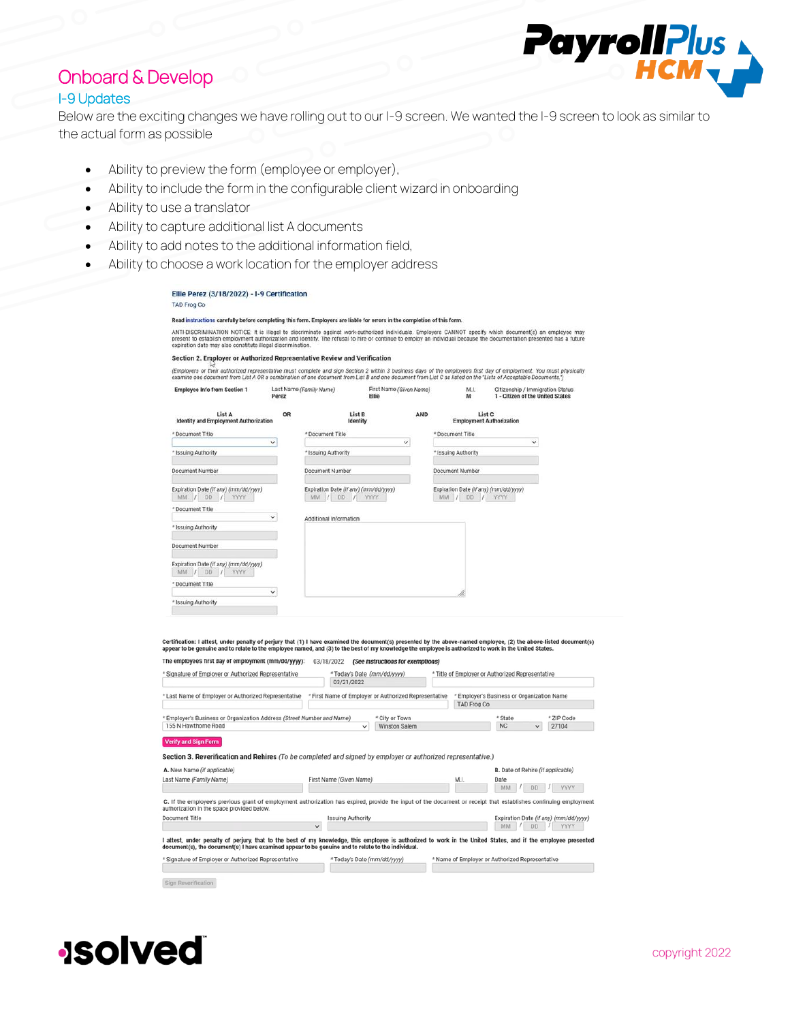# Onboard & Develop

#### I-9 Updates

Below are the exciting changes we have rolling out to our I-9 screen. We wanted the I-9 screen to look as similar to the actual form as possible

- Ability to preview the form (employee or employer),
- Ability to include the form in the configurable client wizard in onboarding
- Ability to use a translator
- Ability to capture additional list A documents
- Ability to add notes to the additional information field,
- $\bullet$  Ability to c

| Ellie Perez (3/18/2022) - I-9 Certification                                                                                                                                                                                                                                                                                                                                                      |              |                                       |                                                       |              |                                                      |                                                                      |            |
|--------------------------------------------------------------------------------------------------------------------------------------------------------------------------------------------------------------------------------------------------------------------------------------------------------------------------------------------------------------------------------------------------|--------------|---------------------------------------|-------------------------------------------------------|--------------|------------------------------------------------------|----------------------------------------------------------------------|------------|
| <b>TAD Frog Co</b>                                                                                                                                                                                                                                                                                                                                                                               |              |                                       |                                                       |              |                                                      |                                                                      |            |
| Read instructions carefully before completing this form. Employers are liable for errors in the completion of this form.                                                                                                                                                                                                                                                                         |              |                                       |                                                       |              |                                                      |                                                                      |            |
| ANTI-DISCRIMINATION NOTICE: It is illegal to discriminate against work-authorized individuals. Employers CANNOT specify which document(s) an employee may<br>present to establish employment authorization and identity. The refusal to hire or continue to employ an individual because the documentation presented has a future<br>expiration date may also constitute illegal discrimination. |              |                                       |                                                       |              |                                                      |                                                                      |            |
| Section 2. Employer or Authorized Representative Review and Verification<br>(Employers or their authorized representative must complete and sign Section 2 within 3 business days of the employee's first day of employment. You must physically                                                                                                                                                 |              |                                       |                                                       |              |                                                      |                                                                      |            |
| examine one document from List A OR a combination of one document from List B and one document from List C as listed on the "Lists of Acceptable Documents.")                                                                                                                                                                                                                                    |              |                                       |                                                       |              |                                                      |                                                                      |            |
| <b>Employee Info from Section 1</b>                                                                                                                                                                                                                                                                                                                                                              | Perez        | Last Name (Family Name)               | First Name (Given Name)<br><b>Ellie</b>               |              | M.I.<br>M                                            | Citizenship / Immigration Status<br>1 - Citizen of the United States |            |
| List A<br><b>Identity and Employment Authorization</b>                                                                                                                                                                                                                                                                                                                                           | OR           |                                       | List B<br>Identity                                    | AND          | List <sub>C</sub><br><b>Employment Authorization</b> |                                                                      |            |
| * Document Title                                                                                                                                                                                                                                                                                                                                                                                 |              | * Document Title                      |                                                       |              | * Document Title                                     |                                                                      |            |
| * Issuing Authority                                                                                                                                                                                                                                                                                                                                                                              | $\checkmark$ |                                       |                                                       | $\checkmark$ |                                                      | $\checkmark$                                                         |            |
|                                                                                                                                                                                                                                                                                                                                                                                                  |              | * Issuing Authority                   |                                                       |              | * Issuing Authority                                  |                                                                      |            |
| Document Number                                                                                                                                                                                                                                                                                                                                                                                  |              | Document Number                       |                                                       |              | <b>Document Number</b>                               |                                                                      |            |
| Expiration Date (if any) (mm/dd/yyyy)                                                                                                                                                                                                                                                                                                                                                            |              | Expiration Date (if any) (mm/dd/yyyy) |                                                       |              | Expiration Date (if any) (mm/dd/yyyy)                |                                                                      |            |
| MM / DD<br>YYYY<br>$\overline{I}$                                                                                                                                                                                                                                                                                                                                                                |              | MM /<br>DD:                           | <b>YYYY</b><br>$\prime$                               |              | MM<br><b>DD</b><br>$\frac{1}{2}$<br>$\frac{1}{2}$    | YYYY                                                                 |            |
| * Document Title                                                                                                                                                                                                                                                                                                                                                                                 |              |                                       |                                                       |              |                                                      |                                                                      |            |
|                                                                                                                                                                                                                                                                                                                                                                                                  | $\checkmark$ | Additional Information                |                                                       |              |                                                      |                                                                      |            |
| * Issuing Authority                                                                                                                                                                                                                                                                                                                                                                              |              |                                       |                                                       |              |                                                      |                                                                      |            |
| Document Number                                                                                                                                                                                                                                                                                                                                                                                  |              |                                       |                                                       |              |                                                      |                                                                      |            |
| Expiration Date (if any) (mm/dd/yyyy)<br>MM / DD<br>YYYY<br>17                                                                                                                                                                                                                                                                                                                                   |              |                                       |                                                       |              |                                                      |                                                                      |            |
| * Document Title                                                                                                                                                                                                                                                                                                                                                                                 |              |                                       |                                                       |              |                                                      |                                                                      |            |
| * Issuing Authority                                                                                                                                                                                                                                                                                                                                                                              | $\checkmark$ |                                       |                                                       |              |                                                      |                                                                      |            |
|                                                                                                                                                                                                                                                                                                                                                                                                  |              |                                       |                                                       |              |                                                      |                                                                      |            |
|                                                                                                                                                                                                                                                                                                                                                                                                  |              |                                       |                                                       |              |                                                      |                                                                      |            |
| Certification: I attest, under penalty of perjury that (1) I have examined the document(s) presented by the above-named employee, (2) the above-listed document(s)                                                                                                                                                                                                                               |              |                                       |                                                       |              |                                                      |                                                                      |            |
| ppear to be genuine and to relate to the employee named, and (3) to the best of my knowledge the employee is authorized to work in the United States.                                                                                                                                                                                                                                            |              |                                       |                                                       |              |                                                      |                                                                      |            |
| The employee's first day of employment (mm/dd/yyyy):                                                                                                                                                                                                                                                                                                                                             |              | 03/18/2022                            | (See instructions for exemptions)                     |              |                                                      |                                                                      |            |
| Signature of Employer or Authorized Representative                                                                                                                                                                                                                                                                                                                                               |              | 03/21/2022                            | * Today's Date (mm/dd/yyyy)                           |              | * Title of Employer or Authorized Representative     |                                                                      |            |
|                                                                                                                                                                                                                                                                                                                                                                                                  |              |                                       | * First Name of Employer or Authorized Representative |              |                                                      | * Employer's Business or Organization Name                           |            |
|                                                                                                                                                                                                                                                                                                                                                                                                  |              |                                       |                                                       |              | <b>TAD Frog Co</b>                                   |                                                                      |            |
| 'Last Name of Employer or Authorized Representative<br>Employer's Business or Organization Address (Street Number and Name)                                                                                                                                                                                                                                                                      |              |                                       | * City or Town                                        |              |                                                      | * State                                                              | * ZIP Code |

Section 3. Reverification and Rehires (To be completed and signed by employer or authorized representative.)

A. New Name (if applicable) **B.** Date of Rehire (if applicable) Last Name (Family Name) First Name (Given Name)  $\begin{array}{|c|c|c|c|c|}\hline \text{Date} & & \text{MM} & / & \text{DD} & / & \text{YYYY} \\\hline \end{array}$ M.I - 1 and for C. If the employee's previous grant of employment authorization has expired, provide the input of the document or receipt that establishes continuing employment authorization in the space provided below. Document Title **Issuing Authority** Expiration Date (if any) (mm/dd/yyyy)  $\vee$ MM / DD / YYYY I attest, under penalty of perjury, that to the best of my knowledge, this employee is authorized to work in the United States, and if the employee presented<br>document(s), the document(s) I have examined appear to be genuin \* Signature of Employer or Authorized Representative \*Today's Date (mm/dd/yyyy) Name of Employer or Authorized Representative

Sign Reverification



copyright 2022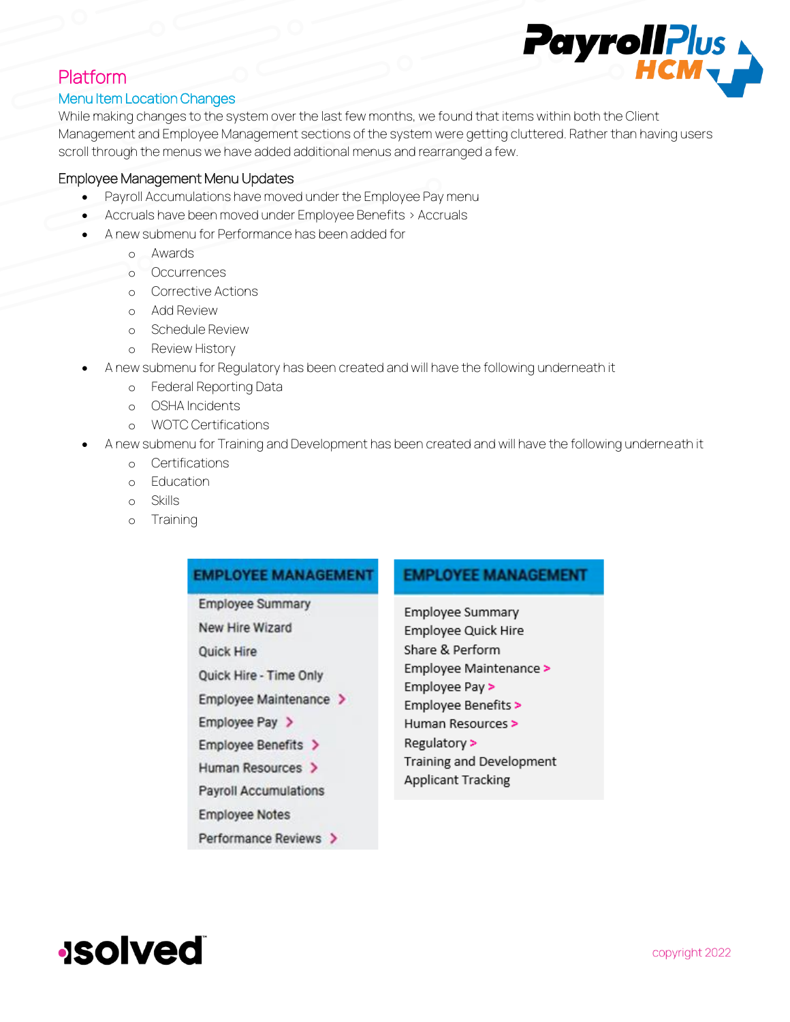# PayrollPlus

# Platform

#### Menu Item Location Changes

While making changes to the system over the last few months, we found that items within both the Client Management and Employee Management sections of the system were getting cluttered. Rather than having users scroll through the menus we have added additional menus and rearranged a few.

#### Employee Management Menu Updates

- Payroll Accumulations have moved under the Employee Pay menu
- Accruals have been moved under Employee Benefits > Accruals
- A new submenu for Performance has been added for
	- o Awards
	- o Occurrences
	- o Corrective Actions
	- o Add Review
	- o Schedule Review
	- o Review History
- A new submenu for Regulatory has been created and will have the following underneath it
	- o Federal Reporting Data
	- o OSHA Incidents
	- o WOTC Certifications
	- A new submenu for Training and Development has been created and will have the following underneath it
		- o Certifications
		- o Education
		- o Skills
		- o Training

#### **EMPLOYEE MANAGEMENT**

**Employee Summary** New Hire Wizard **Ouick Hire** Quick Hire - Time Only Employee Maintenance > Employee Pay > Employee Benefits > Human Resources > **Payroll Accumulations Employee Notes** 

#### **EMPLOYEE MANAGEMENT**

Employee Summary Employee Quick Hire Share & Perform Employee Maintenance > Employee Pay > Employee Benefits > Human Resources > Regulatory > Training and Development Applicant Tracking

**Solved**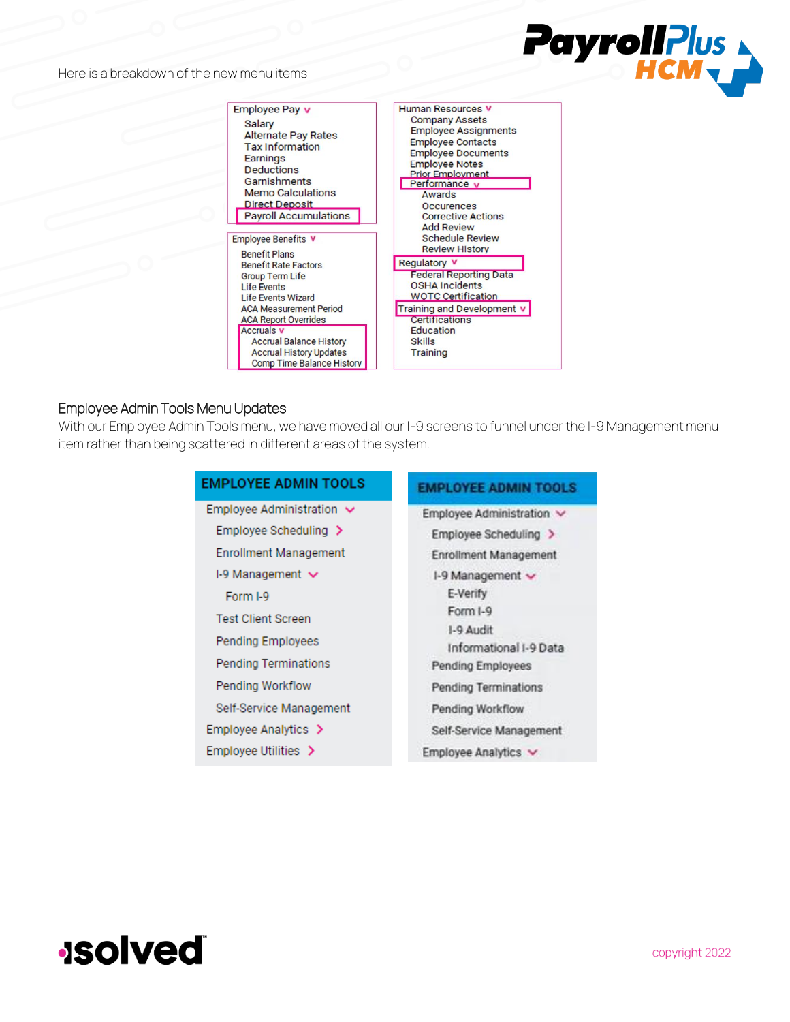Here is a breakdown of the new menu items



#### Employee Admin Tools Menu Updates

With our Employee Admin Tools menu, we have moved all our I-9 screens to funnel under the I-9 Management menu item rather than being scattered in different areas of the system.

| <b>EMPLOYEE ADMIN TOOLS</b>    | <b>EMPLOYEE ADMIN TOOLS</b>         |
|--------------------------------|-------------------------------------|
| Employee Administration $\vee$ | Employee Administration v           |
| Employee Scheduling >          | Employee Scheduling >               |
| <b>Enrollment Management</b>   | <b>Enrollment Management</b>        |
| I-9 Management $\vee$          | I-9 Management $\sim$               |
| Form I-9                       | E-Verify                            |
| <b>Test Client Screen</b>      | Form I-9                            |
| <b>Pending Employees</b>       | 1-9 Audit<br>Informational I-9 Data |
| <b>Pending Terminations</b>    | Pending Employees                   |
| <b>Pending Workflow</b>        | Pending Terminations                |
| Self-Service Management        | Pending Workflow                    |
| Employee Analytics >           | Self-Service Management             |
| Employee Utilities >           | Employee Analytics v                |